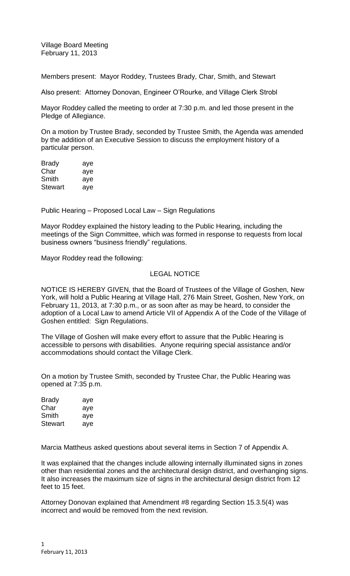Village Board Meeting February 11, 2013

Members present: Mayor Roddey, Trustees Brady, Char, Smith, and Stewart

Also present: Attorney Donovan, Engineer O'Rourke, and Village Clerk Strobl

Mayor Roddey called the meeting to order at 7:30 p.m. and led those present in the Pledge of Allegiance.

On a motion by Trustee Brady, seconded by Trustee Smith, the Agenda was amended by the addition of an Executive Session to discuss the employment history of a particular person.

| Brady          | aye |
|----------------|-----|
| Char           | aye |
| Smith          | aye |
| <b>Stewart</b> | aye |

Public Hearing – Proposed Local Law – Sign Regulations

Mayor Roddey explained the history leading to the Public Hearing, including the meetings of the Sign Committee, which was formed in response to requests from local business owners "business friendly" regulations.

Mayor Roddey read the following:

## LEGAL NOTICE

NOTICE IS HEREBY GIVEN, that the Board of Trustees of the Village of Goshen, New York, will hold a Public Hearing at Village Hall, 276 Main Street, Goshen, New York, on February 11, 2013, at 7:30 p.m., or as soon after as may be heard, to consider the adoption of a Local Law to amend Article VII of Appendix A of the Code of the Village of Goshen entitled: Sign Regulations.

The Village of Goshen will make every effort to assure that the Public Hearing is accessible to persons with disabilities. Anyone requiring special assistance and/or accommodations should contact the Village Clerk.

On a motion by Trustee Smith, seconded by Trustee Char, the Public Hearing was opened at 7:35 p.m.

| <b>Brady</b> | aye |
|--------------|-----|
| Char         | aye |
| Smith        | aye |
| Stewart      | aye |

Marcia Mattheus asked questions about several items in Section 7 of Appendix A.

It was explained that the changes include allowing internally illuminated signs in zones other than residential zones and the architectural design district, and overhanging signs. It also increases the maximum size of signs in the architectural design district from 12 feet to 15 feet.

Attorney Donovan explained that Amendment #8 regarding Section 15.3.5(4) was incorrect and would be removed from the next revision.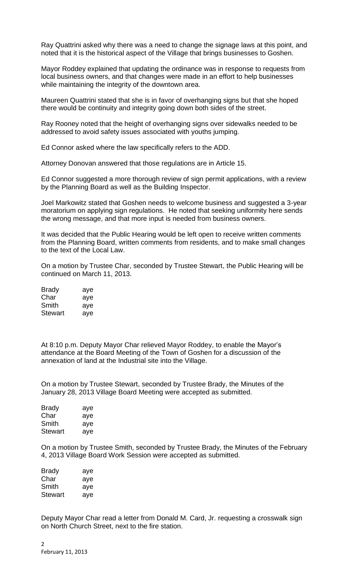Ray Quattrini asked why there was a need to change the signage laws at this point, and noted that it is the historical aspect of the Village that brings businesses to Goshen.

Mayor Roddey explained that updating the ordinance was in response to requests from local business owners, and that changes were made in an effort to help businesses while maintaining the integrity of the downtown area.

Maureen Quattrini stated that she is in favor of overhanging signs but that she hoped there would be continuity and integrity going down both sides of the street.

Ray Rooney noted that the height of overhanging signs over sidewalks needed to be addressed to avoid safety issues associated with youths jumping.

Ed Connor asked where the law specifically refers to the ADD.

Attorney Donovan answered that those regulations are in Article 15.

Ed Connor suggested a more thorough review of sign permit applications, with a review by the Planning Board as well as the Building Inspector.

Joel Markowitz stated that Goshen needs to welcome business and suggested a 3-year moratorium on applying sign regulations. He noted that seeking uniformity here sends the wrong message, and that more input is needed from business owners.

It was decided that the Public Hearing would be left open to receive written comments from the Planning Board, written comments from residents, and to make small changes to the text of the Local Law.

On a motion by Trustee Char, seconded by Trustee Stewart, the Public Hearing will be continued on March 11, 2013.

| Brady          | aye |
|----------------|-----|
| Char           | aye |
| Smith          | aye |
| <b>Stewart</b> | aye |

At 8:10 p.m. Deputy Mayor Char relieved Mayor Roddey, to enable the Mayor's attendance at the Board Meeting of the Town of Goshen for a discussion of the annexation of land at the Industrial site into the Village.

On a motion by Trustee Stewart, seconded by Trustee Brady, the Minutes of the January 28, 2013 Village Board Meeting were accepted as submitted.

| <b>Brady</b> | aye |
|--------------|-----|
| Char         | aye |
| Smith        | aye |
| Stewart      | ave |

On a motion by Trustee Smith, seconded by Trustee Brady, the Minutes of the February 4, 2013 Village Board Work Session were accepted as submitted.

| Brady   | aye |
|---------|-----|
| Char    | aye |
| Smith   | aye |
| Stewart | aye |

Deputy Mayor Char read a letter from Donald M. Card, Jr. requesting a crosswalk sign on North Church Street, next to the fire station.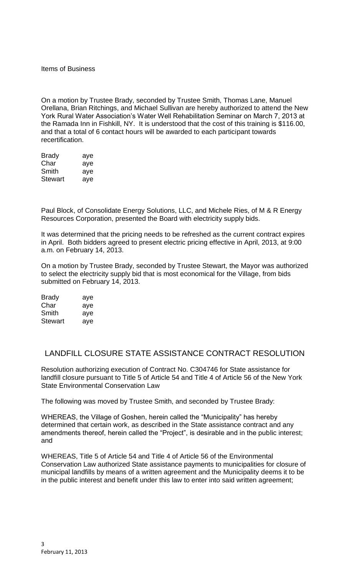Items of Business

On a motion by Trustee Brady, seconded by Trustee Smith, Thomas Lane, Manuel Orellana, Brian Ritchings, and Michael Sullivan are hereby authorized to attend the New York Rural Water Association's Water Well Rehabilitation Seminar on March 7, 2013 at the Ramada Inn in Fishkill, NY. It is understood that the cost of this training is \$116.00, and that a total of 6 contact hours will be awarded to each participant towards recertification.

| <b>Brady</b>   | aye |
|----------------|-----|
| Char           | aye |
| Smith          | aye |
| <b>Stewart</b> | aye |

Paul Block, of Consolidate Energy Solutions, LLC, and Michele Ries, of M & R Energy Resources Corporation, presented the Board with electricity supply bids.

It was determined that the pricing needs to be refreshed as the current contract expires in April. Both bidders agreed to present electric pricing effective in April, 2013, at 9:00 a.m. on February 14, 2013.

On a motion by Trustee Brady, seconded by Trustee Stewart, the Mayor was authorized to select the electricity supply bid that is most economical for the Village, from bids submitted on February 14, 2013.

| <b>Brady</b> | aye |
|--------------|-----|
| Char         | aye |
| Smith        | aye |
| Stewart      | ave |

## LANDFILL CLOSURE STATE ASSISTANCE CONTRACT RESOLUTION

Resolution authorizing execution of Contract No. C304746 for State assistance for landfill closure pursuant to Title 5 of Article 54 and Title 4 of Article 56 of the New York State Environmental Conservation Law

The following was moved by Trustee Smith, and seconded by Trustee Brady:

WHEREAS, the Village of Goshen, herein called the "Municipality" has hereby determined that certain work, as described in the State assistance contract and any amendments thereof, herein called the "Project", is desirable and in the public interest; and

WHEREAS, Title 5 of Article 54 and Title 4 of Article 56 of the Environmental Conservation Law authorized State assistance payments to municipalities for closure of municipal landfills by means of a written agreement and the Municipality deems it to be in the public interest and benefit under this law to enter into said written agreement;